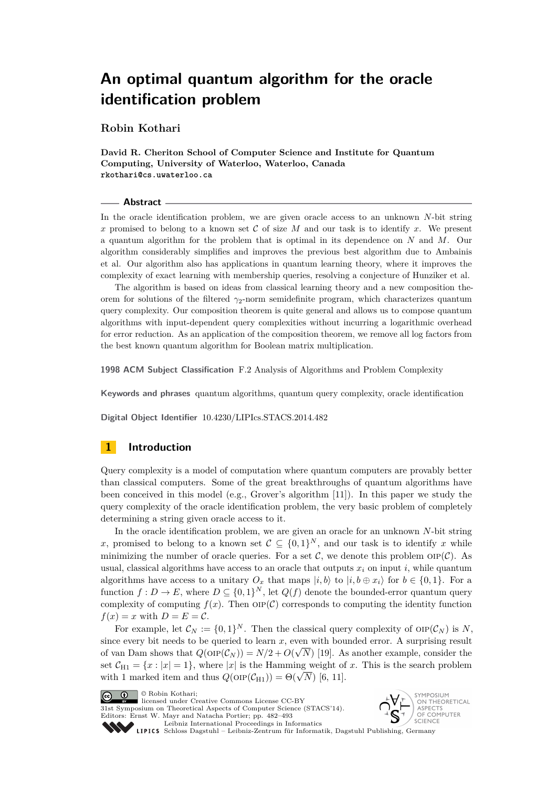<span id="page-0-0"></span>**Robin Kothari**

**David R. Cheriton School of Computer Science and Institute for Quantum Computing, University of Waterloo, Waterloo, Canada rkothari@cs.uwaterloo.ca**

#### **Abstract**

In the oracle identification problem, we are given oracle access to an unknown *N*-bit string *x* promised to belong to a known set  $C$  of size  $M$  and our task is to identify  $x$ . We present a quantum algorithm for the problem that is optimal in its dependence on *N* and *M*. Our algorithm considerably simplifies and improves the previous best algorithm due to Ambainis et al. Our algorithm also has applications in quantum learning theory, where it improves the complexity of exact learning with membership queries, resolving a conjecture of Hunziker et al.

The algorithm is based on ideas from classical learning theory and a new composition theorem for solutions of the filtered *γ*2-norm semidefinite program, which characterizes quantum query complexity. Our composition theorem is quite general and allows us to compose quantum algorithms with input-dependent query complexities without incurring a logarithmic overhead for error reduction. As an application of the composition theorem, we remove all log factors from the best known quantum algorithm for Boolean matrix multiplication.

**1998 ACM Subject Classification** F.2 Analysis of Algorithms and Problem Complexity

**Keywords and phrases** quantum algorithms, quantum query complexity, oracle identification

**Digital Object Identifier** [10.4230/LIPIcs.STACS.2014.482](http://dx.doi.org/10.4230/LIPIcs.STACS.2014.482)

## **1 Introduction**

Query complexity is a model of computation where quantum computers are provably better than classical computers. Some of the great breakthroughs of quantum algorithms have been conceived in this model (e.g., Grover's algorithm [\[11\]](#page-11-0)). In this paper we study the query complexity of the oracle identification problem, the very basic problem of completely determining a string given oracle access to it.

In the oracle identification problem, we are given an oracle for an unknown *N*-bit string x, promised to belong to a known set  $C \subseteq \{0,1\}^N$ , and our task is to identify x while minimizing the number of oracle queries. For a set  $\mathcal{C}$ , we denote this problem  $\text{OP}(\mathcal{C})$ . As usual, classical algorithms have access to an oracle that outputs  $x_i$  on input *i*, while quantum algorithms have access to a unitary  $O_x$  that maps  $|i, b \rangle$  to  $|i, b \oplus x_i\rangle$  for  $b \in \{0, 1\}$ . For a function  $f: D \to E$ , where  $D \subseteq \{0,1\}^N$ , let  $Q(f)$  denote the bounded-error quantum query complexity of computing  $f(x)$ . Then  $OP(C)$  corresponds to computing the identity function  $f(x) = x$  with  $D = E = C$ .

For example, let  $\mathcal{C}_N := \{0,1\}^N$ . Then the classical query complexity of  $\text{OP}(\mathcal{C}_N)$  is N, since every bit needs to be queried to learn  $x$ , even with bounded error. A surprising result of van Dam shows that  $Q(\text{OP}(\mathcal{C}_N)) = N/2 + O(\sqrt{N})$  [\[19\]](#page-11-1). As another example, consider the set  $C_{H1} = \{x : |x| = 1\}$ , where |*x*| is the Hamming weight of *x*. This is the search problem set  $C_{H1} = \{x : |x| = 1\}$ , where  $|x|$  is the Hamming weight of with 1 marked item and thus  $Q(\text{OP}(\mathcal{C}_{H1})) = \Theta(\sqrt{N})$  [\[6,](#page-11-2) [11\]](#page-11-0).

licensed under Creative Commons License CC-BY

31st Symposium on Theoretical Aspects of Computer Science (STACS'14). Editors: Ernst W. Mayr and Natacha Portier; pp. 482[–493](#page-11-3)



[Leibniz International Proceedings in Informatics](http://www.dagstuhl.de/lipics/) [Schloss Dagstuhl – Leibniz-Zentrum für Informatik, Dagstuhl Publishing, Germany](http://www.dagstuhl.de)

<sup>©</sup> Robin Kothari;  $\boxed{6}$   $\boxed{0}$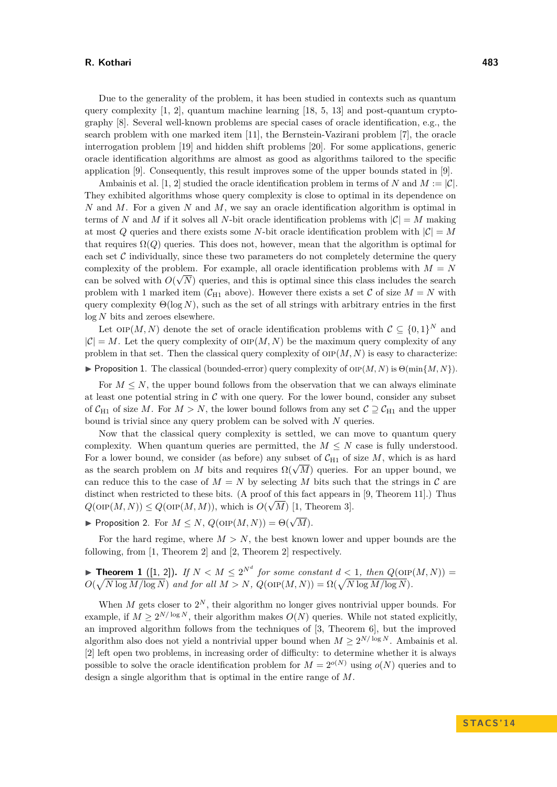Due to the generality of the problem, it has been studied in contexts such as quantum query complexity  $[1, 2]$  $[1, 2]$  $[1, 2]$ , quantum machine learning  $[18, 5, 13]$  $[18, 5, 13]$  $[18, 5, 13]$  $[18, 5, 13]$  $[18, 5, 13]$  and post-quantum cryptography [\[8\]](#page-11-9). Several well-known problems are special cases of oracle identification, e.g., the search problem with one marked item [\[11\]](#page-11-0), the Bernstein-Vazirani problem [\[7\]](#page-11-10), the oracle interrogation problem [\[19\]](#page-11-1) and hidden shift problems [\[20\]](#page-11-11). For some applications, generic oracle identification algorithms are almost as good as algorithms tailored to the specific application [\[9\]](#page-11-12). Consequently, this result improves some of the upper bounds stated in [\[9\]](#page-11-12).

Ambainis et al. [\[1,](#page-11-4) [2\]](#page-11-5) studied the oracle identification problem in terms of *N* and  $M := |\mathcal{C}|$ . They exhibited algorithms whose query complexity is close to optimal in its dependence on *N* and *M*. For a given *N* and *M*, we say an oracle identification algorithm is optimal in terms of *N* and *M* if it solves all *N*-bit oracle identification problems with  $|\mathcal{C}| = M$  making at most *Q* queries and there exists some *N*-bit oracle identification problem with  $|C| = M$ that requires  $\Omega(Q)$  queries. This does not, however, mean that the algorithm is optimal for each set  $C$  individually, since these two parameters do not completely determine the query complexity of the problem. For example, all oracle identification problems with  $M = N$ can be solved with  $O(\sqrt{N})$  queries, and this is optimal since this class includes the search problem with 1 marked item ( $C_{H1}$  above). However there exists a set C of size  $M = N$  with query complexity  $\Theta(\log N)$ , such as the set of all strings with arbitrary entries in the first log *N* bits and zeroes elsewhere.

Let  $\text{OP}(M, N)$  denote the set of oracle identification problems with  $\mathcal{C} \subseteq \{0, 1\}^N$  and  $|\mathcal{C}| = M$ . Let the query complexity of  $\text{OP}(M, N)$  be the maximum query complexity of any problem in that set. Then the classical query complexity of  $OP(M, N)$  is easy to characterize: **Proposition 1.** The classical (bounded-error) query complexity of or $P(M, N)$  is  $\Theta(\min\{M, N\})$ .

For  $M \leq N$ , the upper bound follows from the observation that we can always eliminate at least one potential string in  $\mathcal C$  with one query. For the lower bound, consider any subset of  $C_{H1}$  of size *M*. For  $M > N$ , the lower bound follows from any set  $C \supset C_{H1}$  and the upper bound is trivial since any query problem can be solved with *N* queries.

Now that the classical query complexity is settled, we can move to quantum query complexity. When quantum queries are permitted, the  $M \leq N$  case is fully understood. For a lower bound, we consider (as before) any subset of  $C_{H1}$  of size M, which is as hard For a lower bound, we consider (as before) any subset of  $C_{H1}$  of size  $M$ , which is as flard as the search problem on *M* bits and requires  $\Omega(\sqrt{M})$  queries. For an upper bound, we can reduce this to the case of  $M = N$  by selecting M bits such that the strings in C are distinct when restricted to these bits. (A proof of this fact appears in [\[9,](#page-11-12) Theorem 11].) Thus  $Q(\text{OP}(M, N)) \leq Q(\text{OP}(M, M))$ , which is  $O(\sqrt{M})$  [\[1,](#page-11-4) Theorem 3].

**Proposition 2.** For  $M \le N$ ,  $Q(\text{OP}(M, N)) = \Theta(\sqrt{M})$ .

For the hard regime, where  $M > N$ , the best known lower and upper bounds are the following, from [\[1,](#page-11-4) Theorem 2] and [\[2,](#page-11-5) Theorem 2] respectively.

**Find Theorem 1** ([\[1,](#page-11-4) [2\]](#page-11-5)). If  $N < M \leq 2^{N^d}$  for some constant  $d < 1$ , then  $Q(\text{OP}(M, N)) =$  $O(\sqrt{N \log M / \log N})$  *and for all*  $M > N$ ,  $Q(\text{OP}(M, N)) = \Omega(\sqrt{N \log M / \log N})$ .

When  $M$  gets closer to  $2^N$ , their algorithm no longer gives nontrivial upper bounds. For example, if  $M \geq 2^{N/\log N}$ , their algorithm makes  $O(N)$  queries. While not stated explicitly, an improved algorithm follows from the techniques of [\[3,](#page-11-13) Theorem 6], but the improved algorithm also does not yield a nontrivial upper bound when  $M \geq 2^{N/\log N}$ . Ambainis et al. [\[2\]](#page-11-5) left open two problems, in increasing order of difficulty: to determine whether it is always possible to solve the oracle identification problem for  $M = 2^{o(N)}$  using  $o(N)$  queries and to design a single algorithm that is optimal in the entire range of *M*.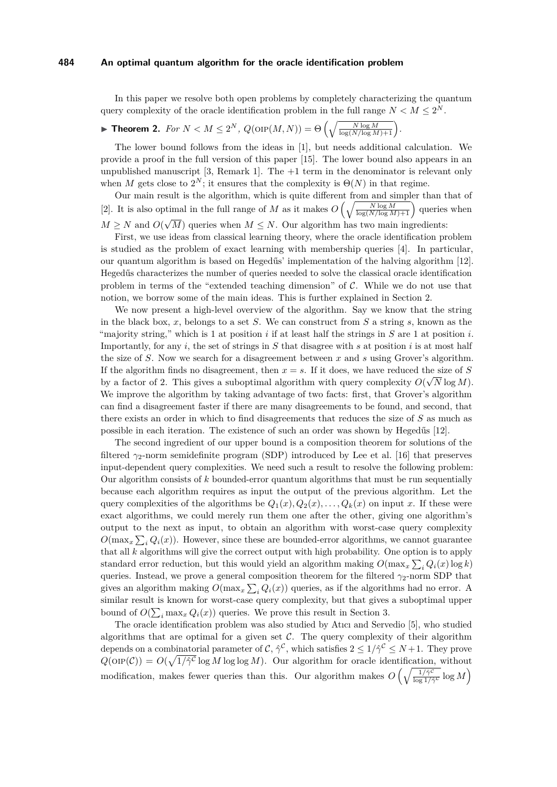In this paper we resolve both open problems by completely characterizing the quantum query complexity of the oracle identification problem in the full range  $N < M \leq 2^N$ .

# <span id="page-2-0"></span>**Fineorem 2.** *For*  $N < M \leq 2^N$ ,  $Q(\text{OP}(M, N)) = \Theta\left(\sqrt{\frac{N \log M}{\log(N/\log M) + 1}}\right)$ .

The lower bound follows from the ideas in [\[1\]](#page-11-4), but needs additional calculation. We provide a proof in the full version of this paper [\[15\]](#page-11-14). The lower bound also appears in an unpublished manuscript  $[3,$  Remark 1]. The  $+1$  term in the denominator is relevant only when *M* gets close to  $2^N$ ; it ensures that the complexity is  $\Theta(N)$  in that regime.

Our main result is the algorithm, which is quite different from and simpler than that of [\[2\]](#page-11-5). It is also optimal in the full range of *M* as it makes  $O\left(\sqrt{\frac{N \log M}{\log(N/\log M)+1}}\right)$  queries when  $M \geq N$  and  $O(\sqrt{M})$  queries when  $M \leq N$ . Our algorithm has two main ingredients: √

First, we use ideas from classical learning theory, where the oracle identification problem is studied as the problem of exact learning with membership queries [\[4\]](#page-11-15). In particular, our quantum algorithm is based on Hegedűs' implementation of the halving algorithm [\[12\]](#page-11-16). Hegedűs characterizes the number of queries needed to solve the classical oracle identification problem in terms of the "extended teaching dimension" of  $C$ . While we do not use that notion, we borrow some of the main ideas. This is further explained in [Section 2.](#page-3-0)

We now present a high-level overview of the algorithm. Say we know that the string in the black box, *x*, belongs to a set *S*. We can construct from *S* a string *s*, known as the "majority string," which is 1 at position *i* if at least half the strings in *S* are 1 at position *i*. Importantly, for any *i*, the set of strings in *S* that disagree with *s* at position *i* is at most half the size of *S*. Now we search for a disagreement between *x* and *s* using Grover's algorithm. If the algorithm finds no disagreement, then  $x = s$ . If it does, we have reduced the size of *S* by a factor of 2. This gives a suboptimal algorithm with query complexity  $O(\sqrt{N}\log M)$ . We improve the algorithm by taking advantage of two facts: first, that Grover's algorithm can find a disagreement faster if there are many disagreements to be found, and second, that there exists an order in which to find disagreements that reduces the size of *S* as much as possible in each iteration. The existence of such an order was shown by Hegedűs [\[12\]](#page-11-16).

The second ingredient of our upper bound is a composition theorem for solutions of the filtered *γ*2-norm semidefinite program (SDP) introduced by Lee et al. [\[16\]](#page-11-17) that preserves input-dependent query complexities. We need such a result to resolve the following problem: Our algorithm consists of *k* bounded-error quantum algorithms that must be run sequentially because each algorithm requires as input the output of the previous algorithm. Let the query complexities of the algorithms be  $Q_1(x), Q_2(x), \ldots, Q_k(x)$  on input *x*. If these were exact algorithms, we could merely run them one after the other, giving one algorithm's output to the next as input, to obtain an algorithm with worst-case query complexity  $O(\max_x \sum_i Q_i(x))$ . However, since these are bounded-error algorithms, we cannot guarantee that all *k* algorithms will give the correct output with high probability. One option is to apply standard error reduction, but this would yield an algorithm making  $O(\max_x \sum_i Q_i(x) \log k)$ queries. Instead, we prove a general composition theorem for the filtered  $\gamma_2$ -norm SDP that gives an algorithm making  $O(\max_x \sum_i Q_i(x))$  queries, as if the algorithms had no error. A similar result is known for worst-case query complexity, but that gives a suboptimal upper bound of  $O(\sum_i \max_x Q_i(x))$  queries. We prove this result in [Section 3.](#page-6-0)

The oracle identification problem was also studied by Atıcı and Servedio [\[5\]](#page-11-7), who studied algorithms that are optimal for a given set  $\mathcal C$ . The query complexity of their algorithm depends on a combinatorial parameter of C,  $\hat{\gamma}^{\mathcal{C}}$ , which satisfies  $2 \leq 1/\hat{\gamma}^{\mathcal{C}} \leq N+1$ . They prove  $Q(\text{OP}(\mathcal{C})) = O(\sqrt{1/\hat{\gamma}^c} \log M \log \log M)$ . Our algorithm for oracle identification, without modification, makes fewer queries than this. Our algorithm makes  $O\left(\sqrt{\frac{1/\gamma^2}{\log 1/\beta}}\right)$  $\sqrt{\frac{1/\hat{\gamma}^{\mathcal{C}}}{\log 1/\hat{\gamma}^{\mathcal{C}}}}\log M$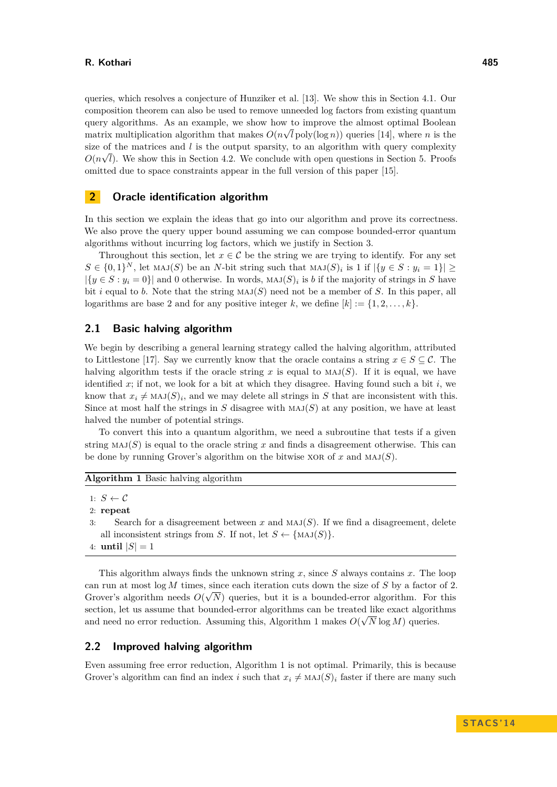queries, which resolves a conjecture of Hunziker et al. [\[13\]](#page-11-8). We show this in [Section 4.1.](#page-9-0) Our composition theorem can also be used to remove unneeded log factors from existing quantum query algorithms. As an example, we show how to improve the almost optimal Boolean matrix multiplication algorithm that makes  $O(n\sqrt{l} \text{ poly}(\log n))$  queries [\[14\]](#page-11-18), where *n* is the size of the matrices and *l* is the output sparsity, to an algorithm with query complexity  $O(n\sqrt{l})$ . We show this in [Section 4.2.](#page-10-0) We conclude with open questions in [Section 5.](#page-10-1) Proofs omitted due to space constraints appear in the full version of this paper [\[15\]](#page-11-14).

# <span id="page-3-0"></span>**2 Oracle identification algorithm**

In this section we explain the ideas that go into our algorithm and prove its correctness. We also prove the query upper bound assuming we can compose bounded-error quantum algorithms without incurring log factors, which we justify in [Section 3.](#page-6-0)

Throughout this section, let  $x \in \mathcal{C}$  be the string we are trying to identify. For any set  $S \in \{0,1\}^N$ , let  $\text{MAJ}(S)$  be an *N*-bit string such that  $\text{MAJ}(S)_i$  is 1 if  $|\{y \in S : y_i = 1\}| \ge$  $|\{y \in S : y_i = 0\}|$  and 0 otherwise. In words,  $MAJ(S)$ <sub>i</sub> is *b* if the majority of strings in *S* have bit *i* equal to *b*. Note that the string  $MAJ(S)$  need not be a member of *S*. In this paper, all logarithms are base 2 and for any positive integer k, we define  $[k] := \{1, 2, \ldots, k\}.$ 

# **2.1 Basic halving algorithm**

We begin by describing a general learning strategy called the halving algorithm, attributed to Littlestone [\[17\]](#page-11-19). Say we currently know that the oracle contains a string  $x \in S \subseteq \mathcal{C}$ . The halving algorithm tests if the oracle string x is equal to  $MAJ(S)$ . If it is equal, we have identified *x*; if not, we look for a bit at which they disagree. Having found such a bit *i*, we know that  $x_i \neq \text{MAJ}(S)_i$ , and we may delete all strings in *S* that are inconsistent with this. Since at most half the strings in *S* disagree with  $MAJ(S)$  at any position, we have at least halved the number of potential strings.

To convert this into a quantum algorithm, we need a subroutine that tests if a given string  $MAJ(S)$  is equal to the oracle string x and finds a disagreement otherwise. This can be done by running Grover's algorithm on the bitwise XOR of  $x$  and MAJ $(S)$ .

```
Algorithm 1 Basic halving algorithm
```

```
1: S \leftarrow C
```

```
2: repeat
```
- 3: Search for a disagreement between *x* and maj(*S*). If we find a disagreement, delete all inconsistent strings from *S*. If not, let  $S \leftarrow {\text{MAJ}(S)}$ .
- 4: **until**  $|S| = 1$

This algorithm always finds the unknown string *x*, since *S* always contains *x*. The loop can run at most  $\log M$  times, since each iteration cuts down the size of *S* by a factor of 2. Grover's algorithm needs  $O(\sqrt{N})$  queries, but it is a bounded-error algorithm. For this section, let us assume that bounded-error algorithms can be treated like exact algorithms and need no error reduction. Assuming this, [Algorithm 1](#page-0-0) makes  $O(\sqrt{N} \log M)$  queries.

## **2.2 Improved halving algorithm**

Even assuming free error reduction, [Algorithm 1](#page-0-0) is not optimal. Primarily, this is because Grover's algorithm can find an index *i* such that  $x_i \neq \text{MAJ}(S)_i$  faster if there are many such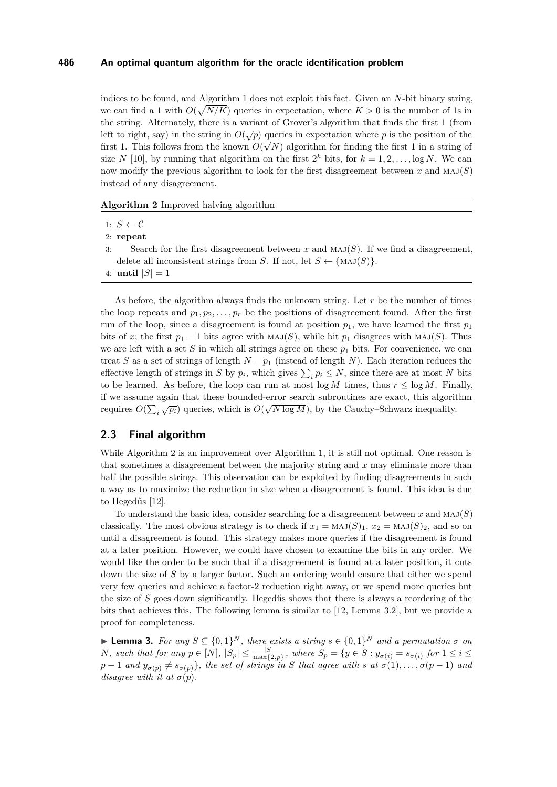indices to be found, and [Algorithm 1](#page-0-0) does not exploit this fact. Given an *N*-bit binary string, we can find a 1 with  $O(\sqrt{N/K})$  queries in expectation, where  $K > 0$  is the number of 1s in the string. Alternately, there is a variant of Grover's algorithm that finds the first 1 (from left to right, say) in the string in  $O(\sqrt{p})$  queries in expectation where *p* is the position of the first 1. This follows from the known  $O(\sqrt{N})$  algorithm for finding the first 1 in a string of size *N* [\[10\]](#page-11-20), by running that algorithm on the first  $2^k$  bits, for  $k = 1, 2, \ldots, \log N$ . We can now modify the previous algorithm to look for the first disagreement between  $x$  and  $\text{MAJ}(S)$ instead of any disagreement.

**Algorithm 2** Improved halving algorithm

2: **repeat**

- 3: Search for the first disagreement between *x* and maj(*S*). If we find a disagreement, delete all inconsistent strings from *S*. If not, let  $S \leftarrow \{\text{MAJ}(S)\}.$
- 4: **until**  $|S| = 1$

As before, the algorithm always finds the unknown string. Let *r* be the number of times the loop repeats and  $p_1, p_2, \ldots, p_r$  be the positions of disagreement found. After the first run of the loop, since a disagreement is found at position  $p_1$ , we have learned the first  $p_1$ bits of *x*; the first  $p_1 - 1$  bits agree with  $MAJ(S)$ , while bit  $p_1$  disagrees with  $MAJ(S)$ . Thus we are left with a set *S* in which all strings agree on these  $p_1$  bits. For convenience, we can treat *S* as a set of strings of length  $N - p_1$  (instead of length *N*). Each iteration reduces the effective length of strings in *S* by  $p_i$ , which gives  $\sum_i p_i \leq N$ , since there are at most *N* bits to be learned. As before, the loop can run at most  $\log M$  times, thus  $r \leq \log M$ . Finally, if we assume again that these bounded-error search subroutines are exact, this algorithm requires  $O(\sum_i \sqrt{p_i})$  queries, which is  $O(\sqrt{N \log M})$ , by the Cauchy–Schwarz inequality.

## **2.3 Final algorithm**

While [Algorithm 2](#page-0-0) is an improvement over [Algorithm 1,](#page-0-0) it is still not optimal. One reason is that sometimes a disagreement between the majority string and *x* may eliminate more than half the possible strings. This observation can be exploited by finding disagreements in such a way as to maximize the reduction in size when a disagreement is found. This idea is due to Hegedűs [\[12\]](#page-11-16).

To understand the basic idea, consider searching for a disagreement between *x* and maj(*S*) classically. The most obvious strategy is to check if  $x_1 = \text{MAJ}(S)_1$ ,  $x_2 = \text{MAJ}(S)_2$ , and so on until a disagreement is found. This strategy makes more queries if the disagreement is found at a later position. However, we could have chosen to examine the bits in any order. We would like the order to be such that if a disagreement is found at a later position, it cuts down the size of *S* by a larger factor. Such an ordering would ensure that either we spend very few queries and achieve a factor-2 reduction right away, or we spend more queries but the size of *S* goes down significantly. Hegedűs shows that there is always a reordering of the bits that achieves this. The following lemma is similar to [\[12,](#page-11-16) Lemma 3.2], but we provide a proof for completeness.

<span id="page-4-0"></span> $\blacktriangleright$  **Lemma 3.** *For any S* ⊆ {0,1}<sup>*N*</sup>, *there exists a string s* ∈ {0,1}<sup>*N*</sup> *and a permutation*  $\sigma$  *on* N, such that for any  $p \in [N]$ ,  $|S_p| \le \frac{|S|}{\max\{2,p\}}$ , where  $S_p = \{y \in S : y_{\sigma(i)} = s_{\sigma(i)} \text{ for } 1 \le i \le n\}$  $p-1$  *and*  $y_{\sigma(p)} \neq s_{\sigma(p)}$ }*, the set of strings in S that agree with s at*  $\sigma(1), \ldots, \sigma(p-1)$  *and disagree with it at*  $\sigma(p)$ *.*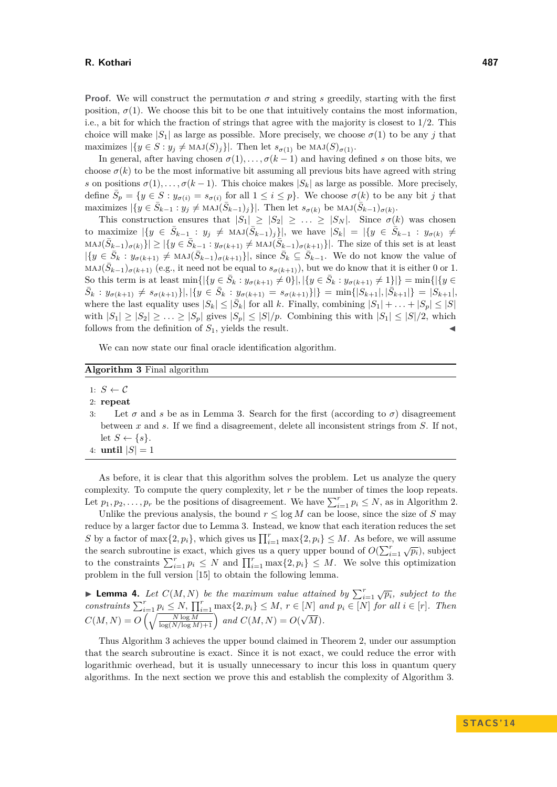**Proof.** We will construct the permutation  $\sigma$  and string *s* greedily, starting with the first position,  $\sigma(1)$ . We choose this bit to be one that intuitively contains the most information, i.e., a bit for which the fraction of strings that agree with the majority is closest to  $1/2$ . This choice will make  $|S_1|$  as large as possible. More precisely, we choose  $\sigma(1)$  to be any *j* that maximizes  $|\{y \in S : y_j \neq \text{MAJ}(S)_j\}|$ . Then let  $s_{\sigma(1)}$  be  $\text{MAJ}(S)_{\sigma(1)}$ .

In general, after having chosen  $\sigma(1), \ldots, \sigma(k-1)$  and having defined *s* on those bits, we choose  $\sigma(k)$  to be the most informative bit assuming all previous bits have agreed with string *s* on positions  $\sigma(1), \ldots, \sigma(k-1)$ . This choice makes  $|S_k|$  as large as possible. More precisely, define  $\bar{S}_p = \{y \in S : y_{\sigma(i)} = s_{\sigma(i)} \text{ for all } 1 \leq i \leq p\}$ . We choose  $\sigma(k)$  to be any bit *j* that  $\text{maximizes } |\{y \in \overline{S}_{k-1} : y_j \neq \text{MAJ}(\overline{S}_{k-1})_j\}|.$  Then let  $s_{\sigma(k)}$  be  $\text{MAJ}(\overline{S}_{k-1})_{\sigma(k)}$ .

This construction ensures that  $|S_1| \geq |S_2| \geq \ldots \geq |S_N|$ . Since  $\sigma(k)$  was chosen to maximize  $|\{y \in \bar{S}_{k-1} : y_j \neq \text{MAJ}(\bar{S}_{k-1})_j\}|$ , we have  $|S_k| = |\{y \in \bar{S}_{k-1} : y_{\sigma(k)} \neq \emptyset_1\}|$  $\text{MAJ}(\bar{S}_{k-1})_{\sigma(k)}\} \geq |\{y \in \bar{S}_{k-1} : y_{\sigma(k+1)} \neq \text{MAJ}(\bar{S}_{k-1})_{\sigma(k+1)}\}|.$  The size of this set is at least  $|\{y \in \bar{S}_k : y_{\sigma(k+1)} \neq \text{MAJ}(\bar{S}_{k-1})_{\sigma(k+1)}\}|$ , since  $\bar{S}_k \subseteq \bar{S}_{k-1}$ . We do not know the value of  $\text{MAJ}(\bar{S}_{k-1})_{\sigma(k+1)}$  (e.g., it need not be equal to  $s_{\sigma(k+1)}$ ), but we do know that it is either 0 or 1. So this term is at least  $\min\{|\{y \in \bar{S}_k : y_{\sigma(k+1)} \neq 0\}|, |\{y \in \bar{S}_k : y_{\sigma(k+1)} \neq 1\}|\} = \min\{|\{y \in \bar{S}_k : y_{\sigma(k+1)} \neq 0\}|, |\{y \in \bar{S}_k : y_{\sigma(k+1)} \neq 1\}|\}$  $\bar{S}_k: y_{\sigma(k+1)} \neq s_{\sigma(k+1)}\big\}, |\{y \in \bar{S}_k: y_{\sigma(k+1)} = s_{\sigma(k+1)}\}|\} = \min\{|S_{k+1}|, |\bar{S}_{k+1}|\} = |S_{k+1}|,$ where the last equality uses  $|S_k| \leq |\bar{S}_k|$  for all *k*. Finally, combining  $|S_1| + \ldots + |S_p| \leq |S|$ with  $|S_1| \geq |S_2| \geq \ldots \geq |S_p|$  gives  $|S_p| \leq |S|/p$ . Combining this with  $|S_1| \leq |S|/2$ , which follows from the definition of  $S_1$ , yields the result.

We can now state our final oracle identification algorithm.

## **Algorithm 3** Final algorithm

- 1:  $S \leftarrow C$
- 2: **repeat**
- 3: Let  $\sigma$  and *s* be as in [Lemma 3.](#page-4-0) Search for the first (according to  $\sigma$ ) disagreement between *x* and *s*. If we find a disagreement, delete all inconsistent strings from *S*. If not, let  $S \leftarrow \{s\}.$
- 4: **until**  $|S| = 1$

As before, it is clear that this algorithm solves the problem. Let us analyze the query complexity. To compute the query complexity, let *r* be the number of times the loop repeats. Let  $p_1, p_2, \ldots, p_r$  be the positions of disagreement. We have  $\sum_{i=1}^r p_i \leq N$ , as in [Algorithm 2.](#page-0-0)

Unlike the previous analysis, the bound  $r \leq \log M$  can be loose, since the size of *S* may reduce by a larger factor due to [Lemma 3.](#page-4-0) Instead, we know that each iteration reduces the set *S* by a factor of  $\max\{2, p_i\}$ , which gives us  $\prod_{i=1}^r \max\{2, p_i\} \leq M$ . As before, we will assume the search subroutine is exact, which gives us a query upper bound of  $O(\sum_{i=1}^{r} \sqrt{p_i})$ , subject to the constraints  $\sum_{i=1}^{r} p_i \leq N$  and  $\prod_{i=1}^{r} \max\{2, p_i\} \leq M$ . We solve this optimization problem in the full version [\[15\]](#page-11-14) to obtain the following lemma.

<span id="page-5-0"></span>▶ **Lemma 4.** Let  $C(M, N)$  be the maximum value attained by  $\sum_{i=1}^{r} \sqrt{p_i}$ , subject to the constraints  $\sum_{i=1}^r p_i \leq N$ ,  $\prod_{i=1}^r \max\{2, p_i\} \leq M$ ,  $r \in [N]$  and  $p_i \in [N]$  for all  $i \in [r]$ . Then  $C(M, N) = O\left(\sqrt{\frac{N \log M}{\log(N/\log M)+1}}\right)$  and  $C(M, N) = O(N)$ √ *M*)*.*

Thus [Algorithm 3](#page-0-0) achieves the upper bound claimed in [Theorem 2,](#page-2-0) under our assumption that the search subroutine is exact. Since it is not exact, we could reduce the error with logarithmic overhead, but it is usually unnecessary to incur this loss in quantum query algorithms. In the next section we prove this and establish the complexity of [Algorithm 3.](#page-0-0)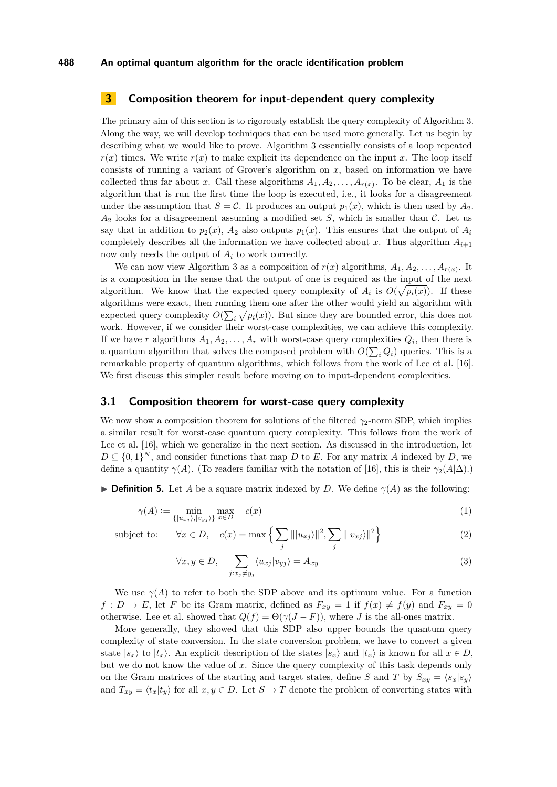# <span id="page-6-0"></span>**3 Composition theorem for input-dependent query complexity**

The primary aim of this section is to rigorously establish the query complexity of [Algorithm 3.](#page-0-0) Along the way, we will develop techniques that can be used more generally. Let us begin by describing what we would like to prove. [Algorithm 3](#page-0-0) essentially consists of a loop repeated  $r(x)$  times. We write  $r(x)$  to make explicit its dependence on the input x. The loop itself consists of running a variant of Grover's algorithm on *x*, based on information we have collected thus far about *x*. Call these algorithms  $A_1, A_2, \ldots, A_{r(x)}$ . To be clear,  $A_1$  is the algorithm that is run the first time the loop is executed, i.e., it looks for a disagreement under the assumption that  $S = \mathcal{C}$ . It produces an output  $p_1(x)$ , which is then used by  $A_2$ . *A*<sup>2</sup> looks for a disagreement assuming a modified set *S*, which is smaller than C. Let us say that in addition to  $p_2(x)$ ,  $A_2$  also outputs  $p_1(x)$ . This ensures that the output of  $A_i$ completely describes all the information we have collected about x. Thus algorithm  $A_{i+1}$ now only needs the output of *A<sup>i</sup>* to work correctly.

We can now view [Algorithm 3](#page-0-0) as a composition of  $r(x)$  algorithms,  $A_1, A_2, \ldots, A_{r(x)}$ . It is a composition in the sense that the output of one is required as the input of the next algorithm. We know that the expected query complexity of  $A_i$  is  $O(\sqrt{p_i(x)})$ . If these algorithms were exact, then running them one after the other would yield an algorithm with expected query complexity  $O(\sum_i \sqrt{p_i(x)})$ . But since they are bounded error, this does not work. However, if we consider their worst-case complexities, we can achieve this complexity. If we have *r* algorithms  $A_1, A_2, \ldots, A_r$  with worst-case query complexities  $Q_i$ , then there is a quantum algorithm that solves the composed problem with  $O(\sum_i Q_i)$  queries. This is a remarkable property of quantum algorithms, which follows from the work of Lee et al. [\[16\]](#page-11-17). We first discuss this simpler result before moving on to input-dependent complexities.

## **3.1 Composition theorem for worst-case query complexity**

<span id="page-6-1"></span> $j: x_j \neq y_j$ 

We now show a composition theorem for solutions of the filtered  $\gamma_2$ -norm SDP, which implies a similar result for worst-case quantum query complexity. This follows from the work of Lee et al. [\[16\]](#page-11-17), which we generalize in the next section. As discussed in the introduction, let  $D \subseteq \{0,1\}^N$ , and consider functions that map *D* to *E*. For any matrix *A* indexed by *D*, we define a quantity  $\gamma(A)$ . (To readers familiar with the notation of [\[16\]](#page-11-17), this is their  $\gamma_2(A|\Delta)$ .)

**Definition 5.** Let *A* be a square matrix indexed by *D*. We define  $\gamma(A)$  as the following:

$$
\gamma(A) := \min_{\{|u_{xj}\rangle, |v_{yj}\rangle\}} \max_{x \in D} \quad c(x)
$$
\n(1)

subject to:  $\forall x \in D, \quad c(x) = \max \left\{ \sum \|\langle u_{xj} \rangle\|^2, \sum \|\langle v_{xj} \rangle\|^2 \right\}$ 

$$
\forall x \in D, \quad c(x) = \max \left\{ \sum_{j} |||u_{xj}||^2, \sum_{j} |||v_{xj}||^2 \right\}
$$
(2)  

$$
\forall x, y \in D, \sum \langle u_{xj} | v_{yj} \rangle = A_{xy}
$$
(3)

We use  $\gamma(A)$  to refer to both the SDP above and its optimum value. For a function  $f: D \to E$ , let *F* be its Gram matrix, defined as  $F_{xy} = 1$  if  $f(x) \neq f(y)$  and  $F_{xy} = 0$ otherwise. Lee et al. showed that  $Q(f) = \Theta(\gamma(J - F))$ , where *J* is the all-ones matrix.

More generally, they showed that this SDP also upper bounds the quantum query complexity of state conversion. In the state conversion problem, we have to convert a given state  $|s_x\rangle$  to  $|t_x\rangle$ . An explicit description of the states  $|s_x\rangle$  and  $|t_x\rangle$  is known for all  $x \in D$ , but we do not know the value of *x*. Since the query complexity of this task depends only on the Gram matrices of the starting and target states, define *S* and *T* by  $S_{xy} = \langle s_x | s_y \rangle$ and  $T_{xy} = \langle t_x | t_y \rangle$  for all  $x, y \in D$ . Let  $S \mapsto T$  denote the problem of converting states with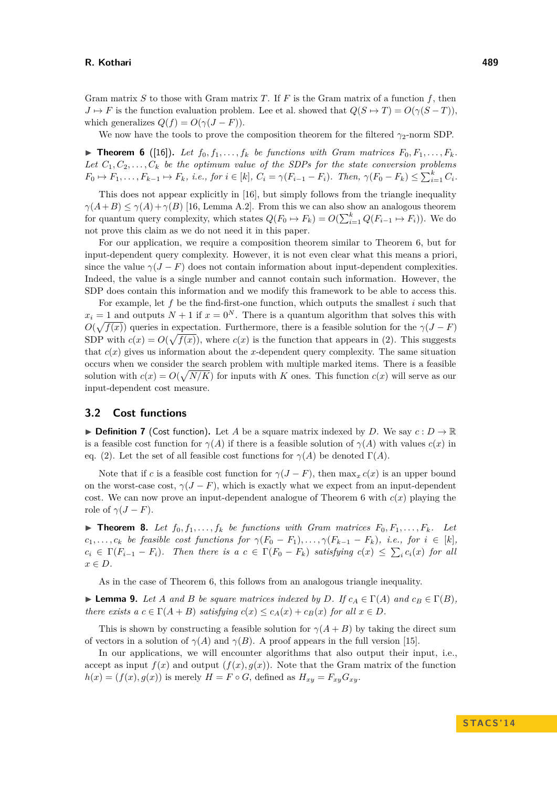Gram matrix *S* to those with Gram matrix *T*. If *F* is the Gram matrix of a function *f*, then  $J \mapsto F$  is the function evaluation problem. Lee et al. showed that  $Q(S \mapsto T) = O(\gamma(S - T))$ , which generalizes  $Q(f) = O(\gamma (J - F)).$ 

We now have the tools to prove the composition theorem for the filtered  $\gamma_2$ -norm SDP.

<span id="page-7-0"></span> $\triangleright$  **Theorem 6** ([\[16\]](#page-11-17)). Let  $f_0, f_1, \ldots, f_k$  be functions with Gram matrices  $F_0, F_1, \ldots, F_k$ . Let  $C_1, C_2, \ldots, C_k$  be the optimum value of the SDPs for the state conversion problems  $F_0 \mapsto F_1, \ldots, F_{k-1} \mapsto F_k$ , *i.e.*, for  $i \in [k]$ ,  $C_i = \gamma(F_{i-1} - F_i)$ . Then,  $\gamma(F_0 - F_k) \le \sum_{i=1}^k C_i$ .

This does not appear explicitly in [\[16\]](#page-11-17), but simply follows from the triangle inequality  $\gamma(A+B) \leq \gamma(A)+\gamma(B)$  [\[16,](#page-11-17) Lemma A.2]. From this we can also show an analogous theorem for quantum query complexity, which states  $Q(F_0 \to F_k) = O(\sum_{i=1}^k Q(F_{i-1} \to F_i))$ . We do not prove this claim as we do not need it in this paper.

For our application, we require a composition theorem similar to [Theorem 6,](#page-7-0) but for input-dependent query complexity. However, it is not even clear what this means a priori, since the value  $\gamma(J - F)$  does not contain information about input-dependent complexities. Indeed, the value is a single number and cannot contain such information. However, the SDP does contain this information and we modify this framework to be able to access this.

For example, let *f* be the find-first-one function, which outputs the smallest *i* such that  $x_i = 1$  and outputs  $N + 1$  if  $x = 0<sup>N</sup>$ . There is a quantum algorithm that solves this with  $O(\sqrt{f(x)})$  queries in expectation. Furthermore, there is a feasible solution for the  $\gamma(J - F)$ SDP with  $c(x) = O(\sqrt{f(x)})$ , where  $c(x)$  is the function that appears in [\(2\).](#page-6-1) This suggests that  $c(x)$  gives us information about the *x*-dependent query complexity. The same situation occurs when we consider the search problem with multiple marked items. There is a feasible solution with  $c(x) = O(\sqrt{N/K})$  for inputs with *K* ones. This function  $c(x)$  will serve as our input-dependent cost measure.

## **3.2 Cost functions**

**Definition 7** (Cost function). Let A be a square matrix indexed by D. We say  $c: D \to \mathbb{R}$ is a feasible cost function for *γ*(*A*) if there is a feasible solution of *γ*(*A*) with values *c*(*x*) in eq. [\(2\).](#page-6-1) Let the set of all feasible cost functions for  $\gamma(A)$  be denoted  $\Gamma(A)$ .

Note that if *c* is a feasible cost function for  $\gamma(J - F)$ , then  $\max_x c(x)$  is an upper bound on the worst-case cost,  $\gamma(J - F)$ , which is exactly what we expect from an input-dependent cost. We can now prove an input-dependent analogue of [Theorem 6](#page-7-0) with  $c(x)$  playing the role of  $\gamma(J - F)$ .

<span id="page-7-1"></span> $\triangleright$  **Theorem 8.** Let  $f_0, f_1, \ldots, f_k$  be functions with Gram matrices  $F_0, F_1, \ldots, F_k$ . Let  $c_1, \ldots, c_k$  *be feasible cost functions for*  $\gamma(F_0 - F_1), \ldots, \gamma(F_{k-1} - F_k)$ *, i.e., for*  $i \in [k]$ *,*  $c_i \in \Gamma(F_{i-1} - F_i)$ *. Then there is a*  $c \in \Gamma(F_0 - F_k)$  *satisfying*  $c(x) \leq \sum_i c_i(x)$  *for all x* ∈ *D.*

As in the case of [Theorem 6,](#page-7-0) this follows from an analogous triangle inequality.

<span id="page-7-2"></span>**Example 9.** *Let A and B be square matrices indexed by D. If*  $c_A \in \Gamma(A)$  *and*  $c_B \in \Gamma(B)$ *, there exists*  $a \ c \in \Gamma(A + B)$  *satisfying*  $c(x) \leq c_A(x) + c_B(x)$  *for all*  $x \in D$ *.* 

This is shown by constructing a feasible solution for  $\gamma(A+B)$  by taking the direct sum of vectors in a solution of  $\gamma(A)$  and  $\gamma(B)$ . A proof appears in the full version [\[15\]](#page-11-14).

In our applications, we will encounter algorithms that also output their input, i.e., accept as input  $f(x)$  and output  $(f(x), g(x))$ . Note that the Gram matrix of the function  $h(x) = (f(x), g(x))$  is merely  $H = F \circ G$ , defined as  $H_{xy} = F_{xy}G_{xy}$ .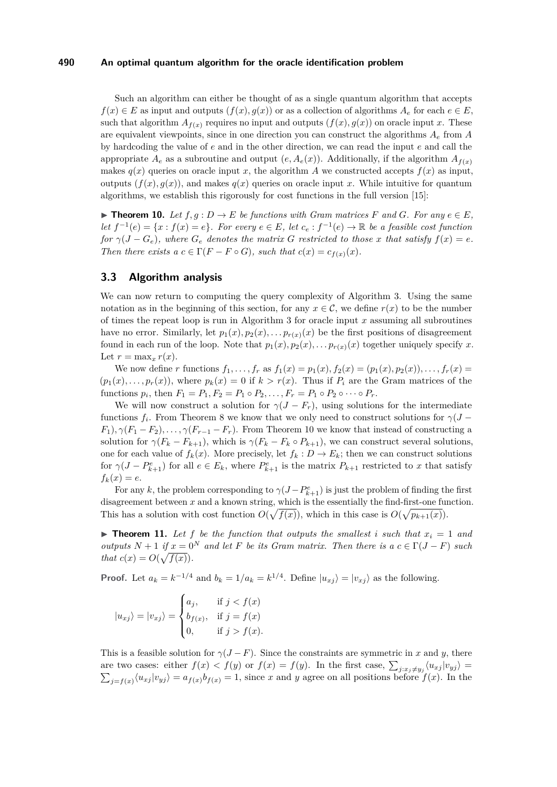Such an algorithm can either be thought of as a single quantum algorithm that accepts  $f(x) \in E$  as input and outputs  $(f(x), g(x))$  or as a collection of algorithms  $A_e$  for each  $e \in E$ , such that algorithm  $A_{f(x)}$  requires no input and outputs  $(f(x), g(x))$  on oracle input *x*. These are equivalent viewpoints, since in one direction you can construct the algorithms *A<sup>e</sup>* from *A* by hardcoding the value of *e* and in the other direction, we can read the input *e* and call the appropriate  $A_e$  as a subroutine and output  $(e, A_e(x))$ . Additionally, if the algorithm  $A_{f(x)}$ makes  $q(x)$  queries on oracle input *x*, the algorithm *A* we constructed accepts  $f(x)$  as input, outputs  $(f(x), q(x))$ , and makes  $q(x)$  queries on oracle input x. While intuitive for quantum algorithms, we establish this rigorously for cost functions in the full version [\[15\]](#page-11-14):

<span id="page-8-0"></span>▶ **Theorem 10.** *Let*  $f, g : D \to E$  *be functions with Gram matrices*  $F$  *and*  $G$ *. For any*  $e \in E$ *, let*  $f^{-1}(e) = \{x : f(x) = e\}$ *. For every*  $e \in E$ *, let*  $c_e : f^{-1}(e) \to \mathbb{R}$  *be a feasible cost function for*  $\gamma(J - G_e)$ *, where*  $G_e$  *denotes the matrix G restricted to those x that satisfy*  $f(x) = e$ *. Then there exists a*  $c \in \Gamma(F - F \circ G)$ *, such that*  $c(x) = c_{f(x)}(x)$ *.* 

## **3.3 Algorithm analysis**

We can now return to computing the query complexity of [Algorithm 3.](#page-0-0) Using the same notation as in the beginning of this section, for any  $x \in \mathcal{C}$ , we define  $r(x)$  to be the number of times the repeat loop is run in [Algorithm 3](#page-0-0) for oracle input *x* assuming all subroutines have no error. Similarly, let  $p_1(x), p_2(x), \ldots p_{r(x)}(x)$  be the first positions of disagreement found in each run of the loop. Note that  $p_1(x), p_2(x), \ldots p_{r(x)}(x)$  together uniquely specify x. Let  $r = \max_x r(x)$ .

We now define *r* functions  $f_1, \ldots, f_r$  as  $f_1(x) = p_1(x), f_2(x) = (p_1(x), p_2(x)), \ldots, f_r(x) =$  $(p_1(x), \ldots, p_r(x))$ , where  $p_k(x) = 0$  if  $k > r(x)$ . Thus if  $P_i$  are the Gram matrices of the functions  $p_i$ , then  $F_1 = P_1, F_2 = P_1 \circ P_2, \ldots, F_r = P_1 \circ P_2 \circ \cdots \circ P_r$ .

We will now construct a solution for  $\gamma(J - F_r)$ , using solutions for the intermediate functions  $f_i$ . From [Theorem 8](#page-7-1) we know that we only need to construct solutions for  $\gamma(J F_1$ ),  $\gamma(F_1 - F_2)$ , ...,  $\gamma(F_{r-1} - F_r)$ . From [Theorem 10](#page-8-0) we know that instead of constructing a solution for  $\gamma(F_k - F_{k+1})$ , which is  $\gamma(F_k - F_k \circ P_{k+1})$ , we can construct several solutions, one for each value of  $f_k(x)$ . More precisely, let  $f_k: D \to E_k$ ; then we can construct solutions for  $\gamma(J - P_{k+1}^e)$  for all  $e \in E_k$ , where  $P_{k+1}^e$  is the matrix  $P_{k+1}$  restricted to *x* that satisfy  $f_k(x) = e$ .

For any *k*, the problem corresponding to  $\gamma(J-P^e_{k+1})$  is just the problem of finding the first disagreement between *x* and a known string, which is the essentially the find-first-one function. This has a solution with cost function  $O(\sqrt{f(x)})$ , which in this case is  $O(\sqrt{p_{k+1}(x)})$ .

<span id="page-8-1"></span> $\triangleright$  **Theorem 11.** Let f be the function that outputs the smallest *i* such that  $x_i = 1$  and *outputs*  $N + 1$  *if*  $x = 0^N$  *and let*  $F$  *be its Gram matrix. Then there is a*  $c \in \Gamma(J - F)$  *such that*  $c(x) = O(\sqrt{f(x)})$ .

**Proof.** Let  $a_k = k^{-1/4}$  and  $b_k = 1/a_k = k^{1/4}$ . Define  $|u_{xj}\rangle = |v_{xj}\rangle$  as the following.

$$
|u_{xj}\rangle = |v_{xj}\rangle = \begin{cases} a_j, & \text{if } j < f(x) \\ b_{f(x)}, & \text{if } j = f(x) \\ 0, & \text{if } j > f(x). \end{cases}
$$

This is a feasible solution for  $\gamma(J - F)$ . Since the constraints are symmetric in *x* and *y*, there are two cases: either  $f(x) < f(y)$  or  $f(x) = f(y)$ . In the first case,  $\sum_{j:x_j\neq y_j}\langle u_{xj}|v_{yj}\rangle =$  $\sum_{j=f(x)} \langle u_{xj} | v_{yj} \rangle = a_{f(x)} b_{f(x)} = 1$ , since *x* and *y* agree on all positions before  $f(x)$ . In the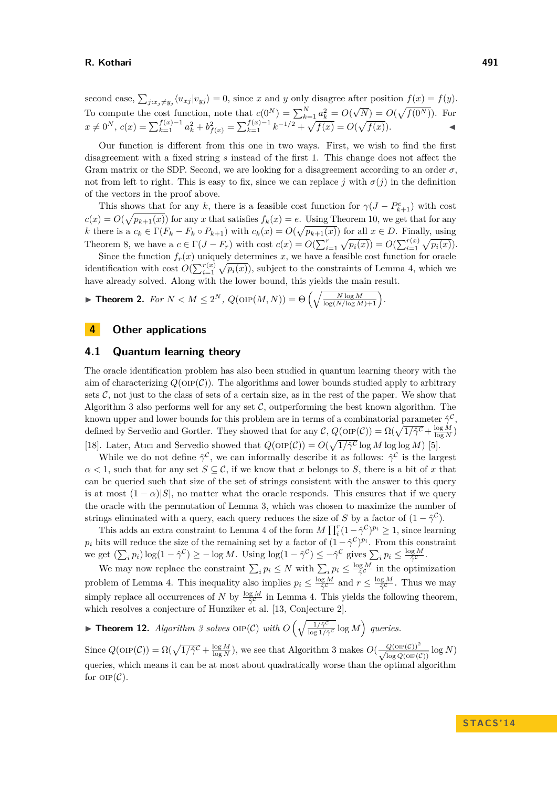second case,  $\sum_{i:x_i\neq y_i} \langle u_{xj} | v_{yj} \rangle = 0$ , since *x* and *y* only disagree after position  $f(x) = f(y)$ . For compute the cost function, note that  $c(0^N) = \sum_{k=1}^N a_k^2 = O(\lambda)$ √  $\overline{N}$ ) =  $O(\sqrt{f(0^N)})$ . For  $x \neq 0^N$ ,  $c(x) = \sum_{k=1}^{f(x)-1} a_k^2 + b_{f(x)}^2 = \sum_{k=1}^{f(x)-1} k^{-1/2} + \sqrt{f(x)} = O(\sqrt{f(x)})$ .

Our function is different from this one in two ways. First, we wish to find the first disagreement with a fixed string *s* instead of the first 1. This change does not affect the Gram matrix or the SDP. Second, we are looking for a disagreement according to an order  $\sigma$ . not from left to right. This is easy to fix, since we can replace *j* with  $\sigma(j)$  in the definition of the vectors in the proof above.

This shows that for any *k*, there is a feasible cost function for  $\gamma(J - P_{k+1}^e)$  with cost  $c(x) = O(\sqrt{p_{k+1}(x)})$  for any *x* that satisfies  $f_k(x) = e$ . Using [Theorem 10,](#page-8-0) we get that for any *k* there is a  $c_k \in \Gamma(F_k - F_k \circ P_{k+1})$  with  $c_k(x) = O(\sqrt{p_{k+1}(x)})$  for all  $x \in D$ . Finally, using [Theorem 8,](#page-7-1) we have a  $c \in \Gamma(J - F_r)$  with cost  $c(x) = O(\sum_{i=1}^r \sqrt{p_i(x)}) = O(\sum_{i=1}^{r(x)} \sqrt{p_i(x)})$ .

Since the function  $f_r(x)$  uniquely determines *x*, we have a feasible cost function for oracle identification with cost  $O(\sum_{i=1}^{r(x)} \sqrt{p_i(x)})$ , subject to the constraints of [Lemma 4,](#page-5-0) which we have already solved. Along with the lower bound, this yields the main result.

**Fineorem 2.** *For*  $N < M \leq 2^N$ ,  $Q(\text{OP}(M, N)) = \Theta\left(\sqrt{\frac{N \log M}{\log(N/\log M) + 1}}\right)$ .

# **4 Other applications**

# <span id="page-9-0"></span>**4.1 Quantum learning theory**

The oracle identification problem has also been studied in quantum learning theory with the aim of characterizing  $Q(\text{OP}(\mathcal{C}))$ . The algorithms and lower bounds studied apply to arbitrary sets  $C$ , not just to the class of sets of a certain size, as in the rest of the paper. We show that [Algorithm 3](#page-0-0) also performs well for any set  $\mathcal{C}$ , outperforming the best known algorithm. The known upper and lower bounds for this problem are in terms of a combinatorial parameter  $\hat{\gamma}^{\mathcal{C}}$ , defined by Servedio and Gortler. They showed that for any  $\mathcal{C}$ ,  $Q(\text{OP}(\mathcal{C})) = \Omega(\sqrt{1/\hat{\gamma}^{\mathcal{C}}} + \frac{\log M}{\log N})$ [\[18\]](#page-11-6). Later, Atıcı and Servedio showed that  $Q(\text{OP}(\mathcal{C})) = O(\sqrt{1/\hat{\gamma}^{\mathcal{C}}}\log M \log \log M)$  [\[5\]](#page-11-7).

While we do not define  $\hat{\gamma}^{\mathcal{C}}$ , we can informally describe it as follows:  $\hat{\gamma}^{\mathcal{C}}$  is the largest  $\alpha$  < 1, such that for any set *S* ∈ C, if we know that *x* belongs to *S*, there is a bit of *x* that can be queried such that size of the set of strings consistent with the answer to this query is at most  $(1 - \alpha)|S|$ , no matter what the oracle responds. This ensures that if we query the oracle with the permutation of [Lemma 3,](#page-4-0) which was chosen to maximize the number of strings eliminated with a query, each query reduces the size of *S* by a factor of  $(1 - \hat{\gamma}^c)$ .

This adds an extra constraint to [Lemma 4](#page-5-0) of the form  $M \prod_i^r (1 - \hat{\gamma}^c)^{p_i} \geq 1$ , since learning  $p_i$  bits will reduce the size of the remaining set by a factor of  $(1 - \hat{\gamma}^c)^{p_i}$ . From this constraint we get  $(\sum_i p_i) \log(1 - \hat{\gamma}^{\mathcal{C}}) \ge -\log M$ . Using  $\log(1 - \hat{\gamma}^{\mathcal{C}}) \le -\hat{\gamma}^{\mathcal{C}}$  gives  $\sum_i p_i \le \frac{\log M}{\hat{\gamma}^{\mathcal{C}}}$ .

We may now replace the constraint  $\sum_i p_i \leq N$  with  $\sum_i p_i \leq \frac{\log M}{\hat{\gamma}^c}$  in the optimization problem of [Lemma 4.](#page-5-0) This inequality also implies  $p_i \leq \frac{\log M}{\hat{\gamma}^c}$  and  $r \leq \frac{\log M}{\hat{\gamma}^c}$ . Thus we may simply replace all occurrences of *N* by  $\frac{\log M}{\hat{\gamma}^{\mathcal{C}}}$  in [Lemma 4.](#page-5-0) This yields the following theorem, which resolves a conjecture of Hunziker et al. [\[13,](#page-11-8) Conjecture 2].

**Find 12.** *[Algorithm 3](#page-0-0) solves*  $\text{OP}(\mathcal{C})$  *with*  $O\left(\sqrt{\frac{1}{\log 1/\hat{c}}}\right)$  $\sqrt{\frac{1/\hat{\gamma}^{\mathcal{C}}}{\log 1/\hat{\gamma}^{\mathcal{C}}}}\log M$ ) queries.

Since  $Q(\text{OP}(\mathcal{C})) = \Omega(\sqrt{1/\hat{\gamma}^{\mathcal{C}}} + \frac{\log M}{\log N})$ , we see that [Algorithm 3](#page-0-0) makes  $O(\frac{Q(\text{OP}(\mathcal{C}))^2}{\sqrt{\log Q(\text{OP}(\mathcal{C}))}} \log N)$ queries, which means it can be at most about quadratically worse than the optimal algorithm for  $OP(\mathcal{C})$ .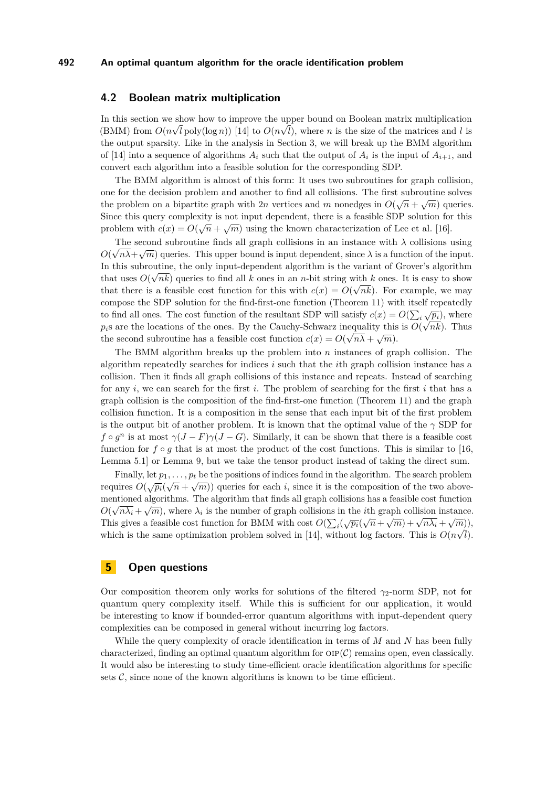## <span id="page-10-0"></span>**4.2 Boolean matrix multiplication**

In this section we show how to improve the upper bound on Boolean matrix multiplication (BMM) from  $O(n\sqrt{l} \text{poly}(\log n))$  [\[14\]](#page-11-18) to  $O(n\sqrt{l})$ , where *n* is the size of the matrices and *l* is the output sparsity. Like in the analysis in [Section 3,](#page-6-0) we will break up the BMM algorithm of [\[14\]](#page-11-18) into a sequence of algorithms  $A_i$  such that the output of  $A_i$  is the input of  $A_{i+1}$ , and convert each algorithm into a feasible solution for the corresponding SDP.

The BMM algorithm is almost of this form: It uses two subroutines for graph collision, one for the decision problem and another to find all collisions. The first subroutine solves the problem on a bipartite graph with 2*n* vertices and *m* nonedges in  $O(\sqrt{n} + \sqrt{m})$  queries. Since this query complexity is not input dependent, there is a feasible SDP solution for this problem with  $c(x) = O(\sqrt{n} + \sqrt{m})$  using the known characterization of Lee et al. [\[16\]](#page-11-17).

The second subroutine finds all graph collisions in an instance with  $\lambda$  collisions using  $O(\sqrt{n\lambda} + \sqrt{m})$  queries. This upper bound is input dependent, since  $\lambda$  is a function of the input. In this subroutine, the only input-dependent algorithm is the variant of Grover's algorithm that uses  $O(\sqrt{nk})$  queries to find all *k* ones in an *n*-bit string with *k* ones. It is easy to show that there is a feasible cost function for this with  $c(x) = O(\sqrt{n}k)$ . For example, we may compose the SDP solution for the find-first-one function [\(Theorem 11\)](#page-8-1) with itself repeatedly to find all ones. The cost function of the resultant SDP will satisfy  $c(x) = O(\sum_i \sqrt{pi_i})$ , where  $p_i$ s are the locations of the ones. By the Cauchy-Schwarz inequality this is  $O(\sqrt{nk})$ . Thus the second subroutine has a feasible cost function  $c(x) = O(\sqrt{n\lambda} + \sqrt{m}).$ 

The BMM algorithm breaks up the problem into *n* instances of graph collision. The algorithm repeatedly searches for indices *i* such that the *i*th graph collision instance has a collision. Then it finds all graph collisions of this instance and repeats. Instead of searching for any *i*, we can search for the first *i*. The problem of searching for the first *i* that has a graph collision is the composition of the find-first-one function [\(Theorem 11\)](#page-8-1) and the graph collision function. It is a composition in the sense that each input bit of the first problem is the output bit of another problem. It is known that the optimal value of the  $\gamma$  SDP for *f*  $\circ$  *g*<sup>n</sup> is at most  $\gamma$ (*J* − *F*) $\gamma$ (*J* − *G*). Similarly, it can be shown that there is a feasible cost function for  $f \circ g$  that is at most the product of the cost functions. This is similar to [\[16,](#page-11-17) Lemma 5.1] or [Lemma 9,](#page-7-2) but we take the tensor product instead of taking the direct sum.

Finally, let  $p_1, \ldots, p_t$  be the positions of indices found in the algorithm. The search problem requires  $O(\sqrt{p_i}(\sqrt{n} + \sqrt{m}))$  queries for each *i*, since it is the composition of the two abovementioned algorithms. The algorithm that finds all graph collisions has a feasible cost function *O*( $\sqrt{n\lambda_i} + \sqrt{m}$ ), where  $\lambda_i$  is the number of graph collisions in the *i*<sup>th</sup> graph collision instance.  $O(\sqrt{n\lambda_i} + \sqrt{m})$ , where  $\lambda_i$  is the number of graph consisions in the *i*th graph consistent instance.<br>This gives a feasible cost function for BMM with cost  $O(\sum_i(\sqrt{p_i}(\sqrt{n} + \sqrt{m}) + \sqrt{n\lambda_i} + \sqrt{m}))$ . which is the same optimization problem solved in [\[14\]](#page-11-18), without log factors. This is  $O(n\sqrt{l})$ .

# <span id="page-10-1"></span>**5 Open questions**

Our composition theorem only works for solutions of the filtered  $\gamma_2$ -norm SDP, not for quantum query complexity itself. While this is sufficient for our application, it would be interesting to know if bounded-error quantum algorithms with input-dependent query complexities can be composed in general without incurring log factors.

While the query complexity of oracle identification in terms of *M* and *N* has been fully characterized, finding an optimal quantum algorithm for  $OP(C)$  remains open, even classically. It would also be interesting to study time-efficient oracle identification algorithms for specific sets  $\mathcal{C}$ , since none of the known algorithms is known to be time efficient.